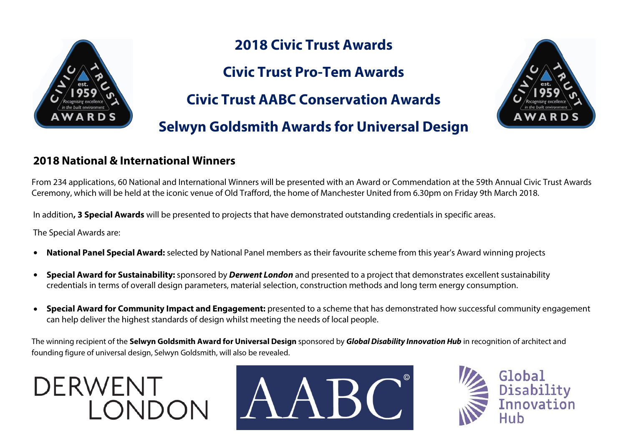

# **2018 Civic Trust Awards**

**Civic Trust Pro-Tem Awards** 

**Civic Trust AABC Conservation Awards** 

**Selwyn Goldsmith Awards for Universal Design**



#### **2018 National & International Winners**

From 234 applications, 60 National and International Winners will be presented with an Award or Commendation at the 59th Annual Civic Trust Awards Ceremony, which will be held at the iconic venue of Old Trafford, the home of Manchester United from 6.30pm on Friday 9th March 2018.

In addition**, 3 Special Awards** will be presented to projects that have demonstrated outstanding credentials in specific areas.

The Special Awards are:

- **• National Panel Special Award:** selected by National Panel members as their favourite scheme from this year's Award winning projects
- **• Special Award for Sustainability:** sponsored by *Derwent London* and presented to a project that demonstrates excellent sustainability credentials in terms of overall design parameters, material selection, construction methods and long term energy consumption.
- **• Special Award for Community Impact and Engagement:** presented to a scheme that has demonstrated how successful community engagement can help deliver the highest standards of design whilst meeting the needs of local people.

The winning recipient of the **Selwyn Goldsmith Award for Universal Design** sponsored by *Global Disability Innovation Hub* in recognition of architect and founding figure of universal design, Selwyn Goldsmith, will also be revealed.





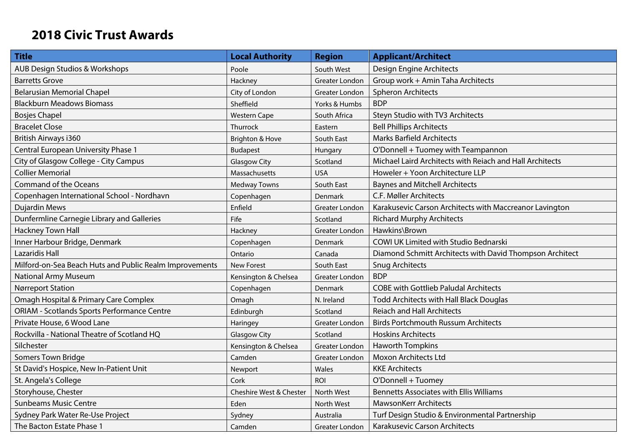# **2018 Civic Trust Awards**

| <b>Title</b>                                            | <b>Local Authority</b>  | <b>Region</b>         | <b>Applicant/Architect</b>                               |
|---------------------------------------------------------|-------------------------|-----------------------|----------------------------------------------------------|
| AUB Design Studios & Workshops                          | Poole                   | South West            | Design Engine Architects                                 |
| <b>Barretts Grove</b>                                   | Hackney                 | <b>Greater London</b> | Group work + Amin Taha Architects                        |
| <b>Belarusian Memorial Chapel</b>                       | City of London          | Greater London        | <b>Spheron Architects</b>                                |
| <b>Blackburn Meadows Biomass</b>                        | Sheffield               | Yorks & Humbs         | <b>BDP</b>                                               |
| <b>Bosjes Chapel</b>                                    | <b>Western Cape</b>     | South Africa          | Steyn Studio with TV3 Architects                         |
| <b>Bracelet Close</b>                                   | Thurrock                | Eastern               | <b>Bell Phillips Architects</b>                          |
| British Airways i360                                    | Brighton & Hove         | South East            | <b>Marks Barfield Architects</b>                         |
| Central European University Phase 1                     | <b>Budapest</b>         | Hungary               | O'Donnell + Tuomey with Teampannon                       |
| City of Glasgow College - City Campus                   | <b>Glasgow City</b>     | Scotland              | Michael Laird Architects with Reiach and Hall Architects |
| <b>Collier Memorial</b>                                 | Massachusetts           | <b>USA</b>            | Howeler + Yoon Architecture LLP                          |
| <b>Command of the Oceans</b>                            | <b>Medway Towns</b>     | South East            | <b>Baynes and Mitchell Architects</b>                    |
| Copenhagen International School - Nordhavn              | Copenhagen              | <b>Denmark</b>        | C.F. Møller Architects                                   |
| <b>Dujardin Mews</b>                                    | Enfield                 | Greater London        | Karakusevic Carson Architects with Maccreanor Lavington  |
| Dunfermline Carnegie Library and Galleries              | Fife                    | Scotland              | <b>Richard Murphy Architects</b>                         |
| <b>Hackney Town Hall</b>                                | Hackney                 | Greater London        | Hawkins\Brown                                            |
| Inner Harbour Bridge, Denmark                           | Copenhagen              | Denmark               | COWI UK Limited with Studio Bednarski                    |
| Lazaridis Hall                                          | Ontario                 | Canada                | Diamond Schmitt Architects with David Thompson Architect |
| Milford-on-Sea Beach Huts and Public Realm Improvements | <b>New Forest</b>       | South East            | <b>Snug Architects</b>                                   |
| <b>National Army Museum</b>                             | Kensington & Chelsea    | <b>Greater London</b> | <b>BDP</b>                                               |
| <b>Nørreport Station</b>                                | Copenhagen              | Denmark               | <b>COBE with Gottlieb Paludal Architects</b>             |
| Omagh Hospital & Primary Care Complex                   | Omagh                   | N. Ireland            | <b>Todd Architects with Hall Black Douglas</b>           |
| <b>ORIAM - Scotlands Sports Performance Centre</b>      | Edinburgh               | Scotland              | <b>Reiach and Hall Architects</b>                        |
| Private House, 6 Wood Lane                              | Haringey                | Greater London        | <b>Birds Portchmouth Russum Architects</b>               |
| Rockvilla - National Theatre of Scotland HQ             | <b>Glasgow City</b>     | Scotland              | <b>Hoskins Architects</b>                                |
| Silchester                                              | Kensington & Chelsea    | Greater London        | <b>Haworth Tompkins</b>                                  |
| Somers Town Bridge                                      | Camden                  | Greater London        | <b>Moxon Architects Ltd</b>                              |
| St David's Hospice, New In-Patient Unit                 | Newport                 | Wales                 | <b>KKE Architects</b>                                    |
| St. Angela's College                                    | Cork                    | <b>ROI</b>            | O'Donnell + Tuomey                                       |
| Storyhouse, Chester                                     | Cheshire West & Chester | North West            | <b>Bennetts Associates with Ellis Williams</b>           |
| <b>Sunbeams Music Centre</b>                            | Eden                    | North West            | <b>MawsonKerr Architects</b>                             |
| Sydney Park Water Re-Use Project                        | Sydney                  | Australia             | Turf Design Studio & Environmental Partnership           |
| The Bacton Estate Phase 1                               | Camden                  | Greater London        | Karakusevic Carson Architects                            |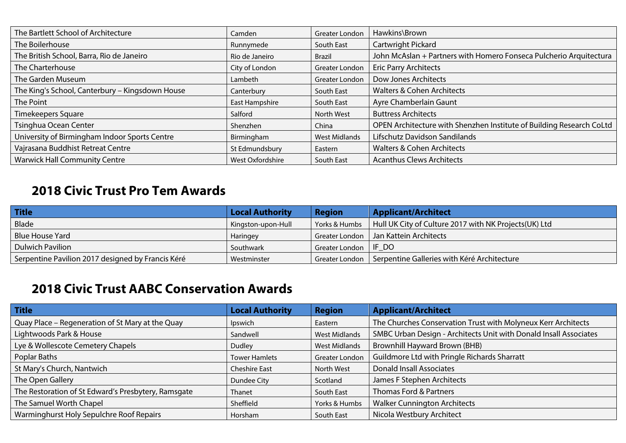| The Bartlett School of Architecture             | Camden           | Greater London       | Hawkins\Brown                                                        |
|-------------------------------------------------|------------------|----------------------|----------------------------------------------------------------------|
| The Boilerhouse                                 | Runnymede        | South East           | Cartwright Pickard                                                   |
| The British School, Barra, Rio de Janeiro       | Rio de Janeiro   | <b>Brazil</b>        | John McAslan + Partners with Homero Fonseca Pulcherio Arquitectura   |
| The Charterhouse                                | City of London   | Greater London       | <b>Eric Parry Architects</b>                                         |
| The Garden Museum                               | Lambeth          | Greater London       | Dow Jones Architects                                                 |
| The King's School, Canterbury - Kingsdown House | Canterbury       | South East           | <b>Walters &amp; Cohen Architects</b>                                |
| The Point                                       | East Hampshire   | South East           | Ayre Chamberlain Gaunt                                               |
| Timekeepers Square                              | Salford          | North West           | <b>Buttress Architects</b>                                           |
| Tsinghua Ocean Center                           | Shenzhen         | China                | OPEN Architecture with Shenzhen Institute of Building Research CoLtd |
| University of Birmingham Indoor Sports Centre   | Birmingham       | <b>West Midlands</b> | Lifschutz Davidson Sandilands                                        |
| Vajrasana Buddhist Retreat Centre               | St Edmundsbury   | Eastern              | <b>Walters &amp; Cohen Architects</b>                                |
| <b>Warwick Hall Community Centre</b>            | West Oxfordshire | South East           | <b>Acanthus Clews Architects</b>                                     |

### **2018 Civic Trust Pro Tem Awards**

| <b>Title</b>                                      | <b>Local Authority</b> | <b>Region</b>  | <b>Applicant/Architect</b>                             |
|---------------------------------------------------|------------------------|----------------|--------------------------------------------------------|
| Blade                                             | Kingston-upon-Hull     | Yorks & Humbs  | Hull UK City of Culture 2017 with NK Projects (UK) Ltd |
| <b>Blue House Yard</b>                            | Haringey               | Greater London | Jan Kattein Architects                                 |
| <b>Dulwich Pavilion</b>                           | Southwark              | Greater London | IF DO                                                  |
| Serpentine Pavilion 2017 designed by Francis Kéré | Westminster            | Greater London | Serpentine Galleries with Kéré Architecture            |

# **2018 Civic Trust AABC Conservation Awards**

| Title                                               | <b>Local Authority</b> | <b>Region</b>        | <b>Applicant/Architect</b>                                        |
|-----------------------------------------------------|------------------------|----------------------|-------------------------------------------------------------------|
| Quay Place - Regeneration of St Mary at the Quay    | Ipswich                | Eastern              | The Churches Conservation Trust with Molyneux Kerr Architects     |
| Lightwoods Park & House                             | Sandwell               | <b>West Midlands</b> | SMBC Urban Design - Architects Unit with Donald Insall Associates |
| Lye & Wollescote Cemetery Chapels                   | <b>Dudley</b>          | <b>West Midlands</b> | Brownhill Hayward Brown (BHB)                                     |
| Poplar Baths                                        | <b>Tower Hamlets</b>   | Greater London       | Guildmore Ltd with Pringle Richards Sharratt                      |
| St Mary's Church, Nantwich                          | <b>Cheshire East</b>   | North West           | <b>Donald Insall Associates</b>                                   |
| The Open Gallery                                    | Dundee City            | Scotland             | James F Stephen Architects                                        |
| The Restoration of St Edward's Presbytery, Ramsgate | Thanet                 | South East           | Thomas Ford & Partners                                            |
| The Samuel Worth Chapel                             | Sheffield              | Yorks & Humbs        | <b>Walker Cunnington Architects</b>                               |
| Warminghurst Holy Sepulchre Roof Repairs            | Horsham                | South East           | Nicola Westbury Architect                                         |